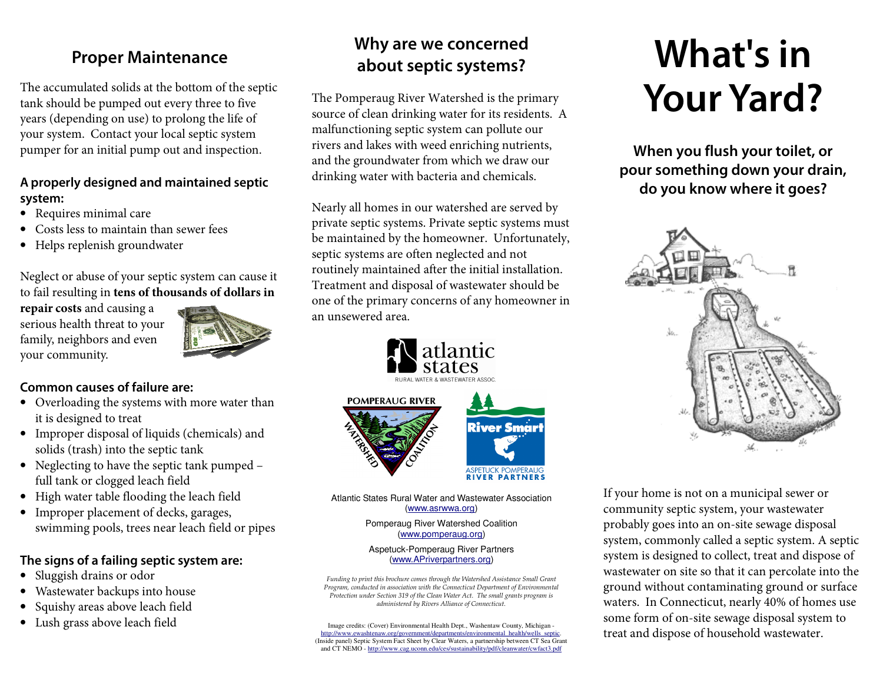### **Proper Maintenance**

The accumulated solids at the bottom of the septic tank should be pumped out every three to five years (depending on use) to prolong the life of your system. Contact your local septic system pumper for an initial pump out and inspection.

### **A properly designed and maintained septic system:**

- Requires minimal care
- •Costs less to maintain than sewer fees
- Helps replenish groundwater

Neglect or abuse of your septic system can cause itto fail resulting in **tens of thousands of dollars in** 

**repair costs** and causing a serious health threat to your family, neighbors and even your community.



### **Common causes of failure are:**

- Overloading the systems with more water than it is designed to treat
- Improper disposal of liquids (chemicals) and solids (trash) into the septic tank
- Neglecting to have the septic tank pumped full tank or clogged leach field
- High water table flooding the leach field
- • Improper placement of decks, garages, swimming pools, trees near leach field or pipes

### **The signs of a failing septic system are:**

- •Sluggish drains or odor
- •Wastewater backups into house
- •Squishy areas above leach field
- Lush grass above leach field

# **Why are we concerned about septic systems?**

The Pomperaug River Watershed is the primary source of clean drinking water for its residents. A malfunctioning septic system can pollute our rivers and lakes with weed enriching nutrients, and the groundwater from which we draw our drinking water with bacteria and chemicals.

Nearly all homes in our watershed are served by private septic systems. Private septic systems must be maintained by the homeowner. Unfortunately, septic systems are often neglected and not routinely maintained after the initial installation. Treatment and disposal of wastewater should be one of the primary concerns of any homeowner in an unsewered area.



Atlantic States Rural Water and Wastewater Association (www.asrwwa.org)

**RIVER PARTNERS** 

Pomperaug River Watershed Coalition (www.pomperaug.org)

#### Aspetuck-Pomperaug River Partners (www.APriverpartners.org)

Funding to print this brochure comes through the Watershed Assistance Small Grant Program, conducted in association with the Connecticut Department of Environmental Protection under Section 319 of the Clean Water Act. The small grants program is administered by Rivers Alliance of Connecticut.

Image credits: (Cover) Environmental Health Dept., Washentaw County, Michigan -<br>http://www.ewashtenaw.org/government/departments/environmental health/wells septic.<br>(Inside panel) Septic System Fact Sheet by Clear Waters, a and CT NEMO - http://www.cag.uconn.edu/ces/sustainability/pdf/cleanwater/cwfact3.pdf

# **What's in Your Yard?**

**When you flush your toilet, or pour something down your drain, do you know where it goes?** 



If your home is not on a municipal sewer or community septic system, your wastewater probably goes into an on-site sewage disposal system, commonly called a septic system. A septic system is designed to collect, treat and dispose of wastewater on site so that it can percolate into the ground without contaminating ground or surface waters. In Connecticut, nearly 40% of homes use some form of on-site sewage disposal system to treat and dispose of household wastewater.